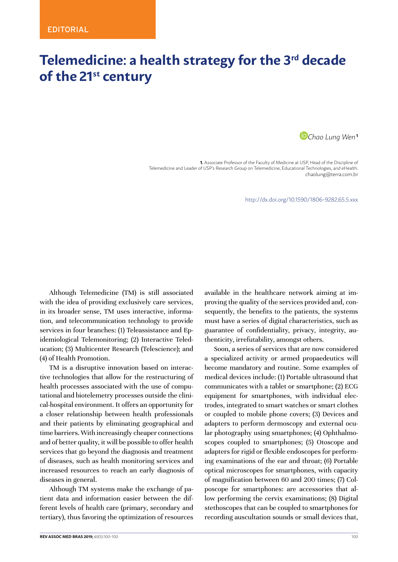## **Telemedicine: a health strategy for the 3rd decade of the 21st century**

*[C](http://orcid.org/0000-0003-1902-3272)hao Lung Wen***<sup>1</sup>**

**1.** Associate Professor of the Faculty of Medicine at USP, Head of the Discipline of Telemedicine and Leader of USP's Research Group on Telemedicine, Educational Technologies, and eHealth. [chaolung@terra.com.br](mailto:chaolung@terra.com.br)

http://dx.doi.org/10.1590/1806-9282.65.5.xxx

Although Telemedicine (TM) is still associated with the idea of providing exclusively care services, in its broader sense, TM uses interactive, information, and telecommunication technology to provide services in four branches: (1) Teleassistance and Epidemiological Telemonitoring; (2) Interactive Teleducation; (3) Multicenter Research (Telescience); and (4) of Health Promotion.

TM is a disruptive innovation based on interactive technologies that allow for the restructuring of health processes associated with the use of computational and biotelemetry processes outside the clinical-hospital environment. It offers an opportunity for a closer relationship between health professionals and their patients by eliminating geographical and time barriers. With increasingly cheaper connections and of better quality, it will be possible to offer health services that go beyond the diagnosis and treatment of diseases, such as health monitoring services and increased resources to reach an early diagnosis of diseases in general.

Although TM systems make the exchange of patient data and information easier between the different levels of health care (primary, secondary and tertiary), thus favoring the optimization of resources available in the healthcare network aiming at improving the quality of the services provided and, consequently, the benefits to the patients, the systems must have a series of digital characteristics, such as guarantee of confidentiality, privacy, integrity, authenticity, irrefutability, amongst others.

Soon, a series of services that are now considered a specialized activity or armed propaedeutics will become mandatory and routine. Some examples of medical devices include: (1) Portable ultrasound that communicates with a tablet or smartphone; (2) ECG equipment for smartphones, with individual electrodes, integrated to smart watches or smart clothes or coupled to mobile phone covers; (3) Devices and adapters to perform dermoscopy and external ocular photography using smartphones; (4) Ophthalmoscopes coupled to smartphones; (5) Otoscope and adapters for rigid or flexible endoscopes for performing examinations of the ear and throat; (6) Portable optical microscopes for smartphones, with capacity of magnification between 60 and 200 times; (7) Colposcope for smartphones: are accessories that allow performing the cervix examinations; (8) Digital stethoscopes that can be coupled to smartphones for recording auscultation sounds or small devices that,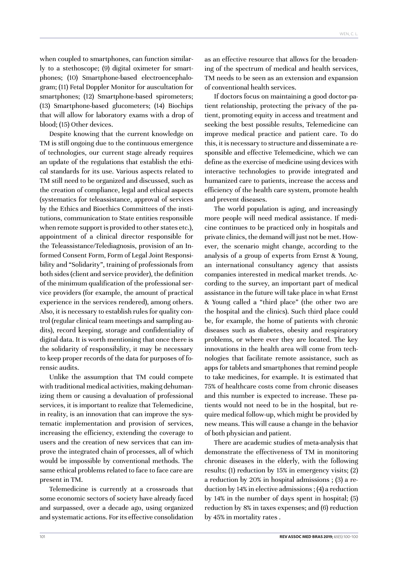when coupled to smartphones, can function similarly to a stethoscope; (9) digital oximeter for smartphones; (10) Smartphone-based electroencephalogram; (11) Fetal Doppler Monitor for auscultation for smartphones; (12) Smartphone-based spirometers; (13) Smartphone-based glucometers; (14) Biochips that will allow for laboratory exams with a drop of blood; (15) Other devices.

Despite knowing that the current knowledge on TM is still ongoing due to the continuous emergence of technologies, our current stage already requires an update of the regulations that establish the ethical standards for its use. Various aspects related to TM still need to be organized and discussed, such as the creation of compliance, legal and ethical aspects (systematics for teleassistance, approval of services by the Ethics and Bioethics Committees of the institutions, communication to State entities responsible when remote support is provided to other states etc.), appointment of a clinical director responsible for the Teleassistance/Telediagnosis, provision of an Informed Consent Form, Form of Legal Joint Responsibility and "Solidarity", training of professionals from both sides (client and service provider), the definition of the minimum qualification of the professional service providers (for example, the amount of practical experience in the services rendered), among others. Also, it is necessary to establish rules for quality control (regular clinical team meetings and sampling audits), record keeping, storage and confidentiality of digital data. It is worth mentioning that once there is the solidarity of responsibility, it may be necessary to keep proper records of the data for purposes of forensic audits.

Unlike the assumption that TM could compete with traditional medical activities, making dehumanizing them or causing a devaluation of professional services, it is important to realize that Telemedicine, in reality, is an innovation that can improve the systematic implementation and provision of services, increasing the efficiency, extending the coverage to users and the creation of new services that can improve the integrated chain of processes, all of which would be impossible by conventional methods. The same ethical problems related to face to face care are present in TM.

Telemedicine is currently at a crossroads that some economic sectors of society have already faced and surpassed, over a decade ago, using organized and systematic actions. For its effective consolidation as an effective resource that allows for the broadening of the spectrum of medical and health services, TM needs to be seen as an extension and expansion of conventional health services.

If doctors focus on maintaining a good doctor-patient relationship, protecting the privacy of the patient, promoting equity in access and treatment and seeking the best possible results, Telemedicine can improve medical practice and patient care. To do this, it is necessary to structure and disseminate a responsible and effective Telemedicine, which we can define as the exercise of medicine using devices with interactive technologies to provide integrated and humanized care to patients, increase the access and efficiency of the health care system, promote health and prevent diseases.

The world population is aging, and increasingly more people will need medical assistance. If medicine continues to be practiced only in hospitals and private clinics, the demand will just not be met. However, the scenario might change, according to the analysis of a group of experts from Ernst & Young, an international consultancy agency that assists companies interested in medical market trends. According to the survey, an important part of medical assistance in the future will take place in what Ernst & Young called a "third place" (the other two are the hospital and the clinics). Such third place could be, for example, the home of patients with chronic diseases such as diabetes, obesity and respiratory problems, or where ever they are located. The key innovations in the health area will come from technologies that facilitate remote assistance, such as apps for tablets and smartphones that remind people to take medicines, for example. It is estimated that 75% of healthcare costs come from chronic diseases and this number is expected to increase. These patients would not need to be in the hospital, but require medical follow-up, which might be provided by new means. This will cause a change in the behavior of both physician and patient.

There are academic studies of meta-analysis that demonstrate the effectiveness of TM in monitoring chronic diseases in the elderly, with the following results: (1) reduction by 15% in emergency visits; (2) a reduction by 20% in hospital admissions ; (3) a reduction by 14% in elective admissions ; (4) a reduction by 14% in the number of days spent in hospital; (5) reduction by 8% in taxes expenses; and (6) reduction by 45% in mortality rates .